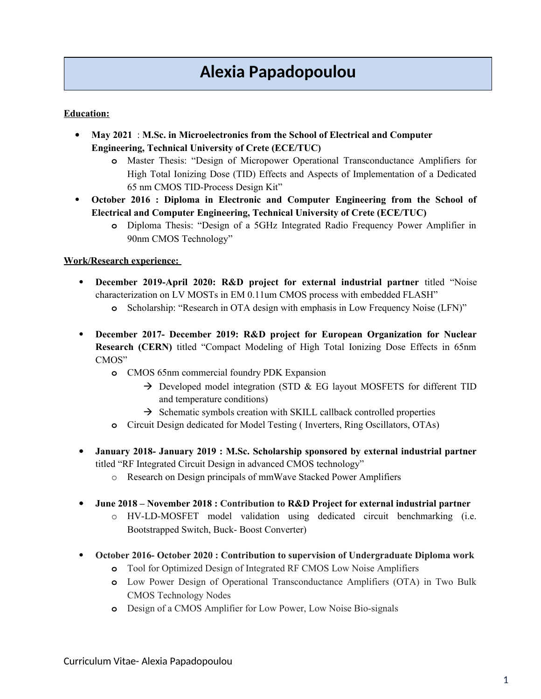# **Alexia Papadopoulou**

## **Education:**

- **May 2021** : **M.Sc. in Microelectronics from the School of Electrical and Computer Engineering, Technical University of Crete (ECE/TUC)**
	- **o** Master Thesis: "Design of Micropower Operational Transconductance Amplifiers for High Total Ionizing Dose (TID) Effects and Aspects of Implementation of a Dedicated 65 nm CMOS TID-Process Design Kit"
- **October 2016 : Diploma in Electronic and Computer Engineering from the School of Electrical and Computer Engineering, Technical University of Crete (ECE/TUC)** 
	- **o** Diploma Thesis: "Design of a 5GHz Integrated Radio Frequency Power Amplifier in 90nm CMOS Technology"

### **Work/Research experience:**

- **December 2019-April 2020: R&D project for external industrial partner** titled "Noise characterization on LV MOSTs in EM 0.11um CMOS process with embedded FLASH"
	- **o** Scholarship: "Research in OTA design with emphasis in Low Frequency Noise (LFN)"
- **December 2017- December 2019: R&D project for European Organization for Nuclear Research (CERN)** titled "Compact Modeling of High Total Ionizing Dose Effects in 65nm CMOS"
	- **o** CMOS 65nm commercial foundry PDK Expansion
		- $\rightarrow$  Developed model integration (STD & EG layout MOSFETS for different TID and temperature conditions)
		- $\rightarrow$  Schematic symbols creation with SKILL callback controlled properties
	- **o** Circuit Design dedicated for Model Testing ( Inverters, Ring Oscillators, OTAs)
- **January 2018- January 2019 : M.Sc. Scholarship sponsored by external industrial partner** titled "RF Integrated Circuit Design in advanced CMOS technology"
	- o Research on Design principals of mmWave Stacked Power Amplifiers
- **June 2018 November 2018 : Contribution to R&D Project for external industrial partner**
	- o HV-LD-MOSFET model validation using dedicated circuit benchmarking (i.e. Bootstrapped Switch, Buck- Boost Converter)
- **October 2016- October 2020 : Contribution to supervision of Undergraduate Diploma work**
	- **o** Tool for Optimized Design of Integrated RF CMOS Low Noise Amplifiers
	- **o** Low Power Design of Operational Transconductance Amplifiers (OTA) in Two Bulk CMOS Technology Nodes
	- **o** Design of a CMOS Amplifier for Low Power, Low Noise Bio-signals